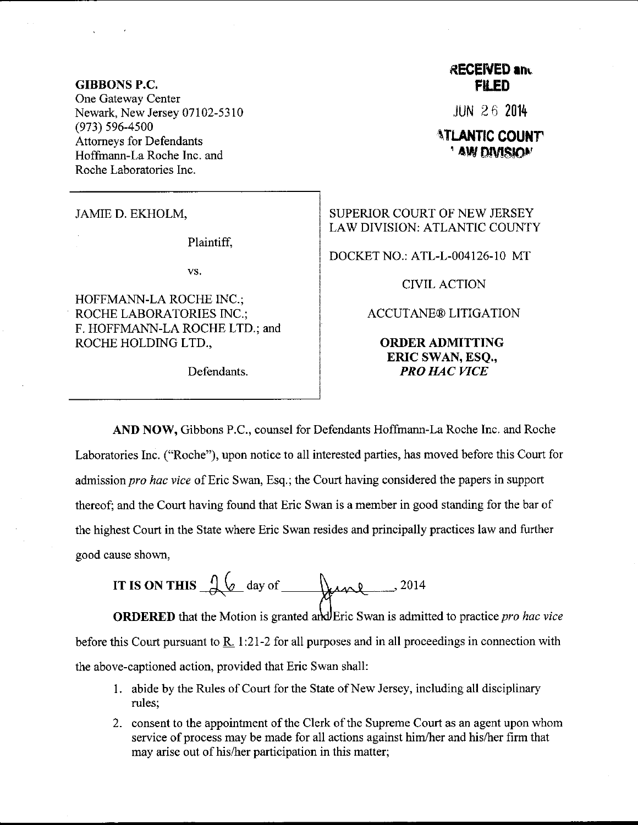## GIBBONS P.C. One Gateway Center Newark, New Jersey 07102-5310 (973) 596-4500 Attomeys for Defendants Hoffmann-La Roche Inc. and Roche Laboratories Inc.

JAMIE D. EKHOLM,

Plaintiff.

vs.

HOFFMANN-LA ROCHE INC.; ROCHE LABORATORIES INC.; F. HOFFMANN-LA ROCHE LTD.; and ROCHE HOLDING LTD.,

## **RECEIVED and FILED**

JUN 2 6 20i4

## **ATLANTIC COUNTY**<br>AW DIVISION

SUPERIOR COURT OF NEW JERSEY LAW DIVISION: ATLANTIC COUNTY

DOCKET NO.: ATL-L-004126-10 MT

CIVIL ACTION

ACCUTANE@ LITIGATION

ORDERADMITTING ERIC SWAN, ESQ., Defendants. **PRO HAC VICE** 

AND NOW, Gibbons P.C., counsel for Defendants Hoffmann-La Roche Inc. and Roche Laboratories Inc. ("Roche"), upon notice to all interested parties, has moved before this Court for admission pro hac vice of Eric Swan, Esq.; the Court having considered the papers in support thereof; and the Court having found that Eric Swan is a member in good standing for the bar of the highest Court in the State where Eric Swan resides and principally practices law and further good cause shown,

IT IS ON THIS 
$$
\frac{1}{\sqrt{6}}
$$
 day of  $\frac{1}{\sqrt{6}}$ 

**ORDERED** that the Motion is granted and Eric Swan is admitted to practice *pro hac vice* before this Court pursuant to  $R_1$ . 1:21-2 for all purposes and in all proceedings in connection with the above-captioned action, provided that Eric Swan shall:

- <sup>1</sup>. abide by the Rules of Court for the State of New Jersey, including all disciplinary rules;
- 2. consent to the appointment of the Clerk of the Supreme Court as an agent upon whom service of process may be made for all actions against him/her and his/her firm that may arise out of his/her participation in this matter;